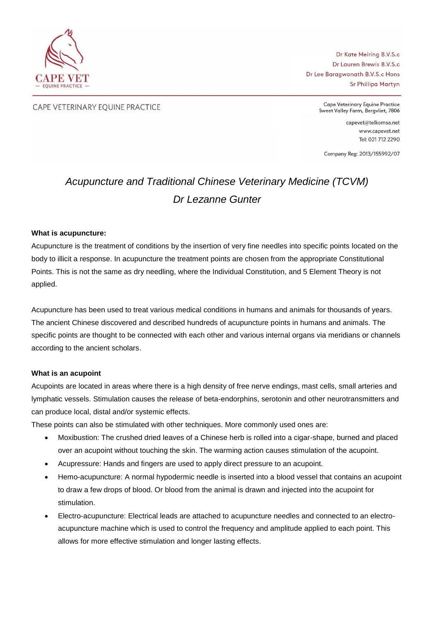

Dr Kate Meiring B.V.S.c Dr Lauren Brewis B.V.S.c Dr Lee Baragwanath B.V.S.c Hons Sr Phillipa Martyn

CAPE VETERINARY EQUINE PRACTICE

Cape Veterinary Equine Practice Sweet Valley Farm, Bergvliet, 7806

> capevet@telkomsa.net www.capevet.net Tel: 021 712 2290

Company Reg: 2013/155992/07

# *Acupuncture and Traditional Chinese Veterinary Medicine (TCVM) Dr Lezanne Gunter*

#### **What is acupuncture:**

Acupuncture is the treatment of conditions by the insertion of very fine needles into specific points located on the body to illicit a response. In acupuncture the treatment points are chosen from the appropriate Constitutional Points. This is not the same as dry needling, where the Individual Constitution, and 5 Element Theory is not applied.

Acupuncture has been used to treat various medical conditions in humans and animals for thousands of years. The ancient Chinese discovered and described hundreds of acupuncture points in humans and animals. The specific points are thought to be connected with each other and various internal organs via meridians or channels according to the ancient scholars.

#### **What is an acupoint**

Acupoints are located in areas where there is a high density of free nerve endings, mast cells, small arteries and lymphatic vessels. Stimulation causes the release of beta-endorphins, serotonin and other neurotransmitters and can produce local, distal and/or systemic effects.

These points can also be stimulated with other techniques. More commonly used ones are:

- Moxibustion: The crushed dried leaves of a Chinese herb is rolled into a cigar-shape, burned and placed over an acupoint without touching the skin. The warming action causes stimulation of the acupoint.
- Acupressure: Hands and fingers are used to apply direct pressure to an acupoint.
- Hemo-acupuncture: A normal hypodermic needle is inserted into a blood vessel that contains an acupoint to draw a few drops of blood. Or blood from the animal is drawn and injected into the acupoint for stimulation.
- Electro-acupuncture: Electrical leads are attached to acupuncture needles and connected to an electroacupuncture machine which is used to control the frequency and amplitude applied to each point. This allows for more effective stimulation and longer lasting effects.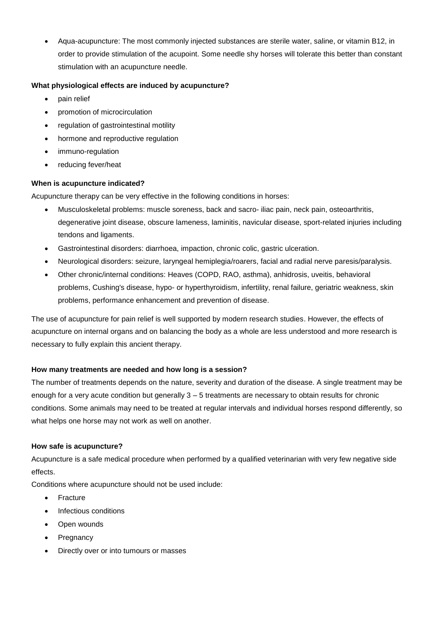Aqua-acupuncture: The most commonly injected substances are sterile water, saline, or vitamin B12, in order to provide stimulation of the acupoint. Some needle shy horses will tolerate this better than constant stimulation with an acupuncture needle.

## **What physiological effects are induced by acupuncture?**

- pain relief
- promotion of microcirculation
- regulation of gastrointestinal motility
- hormone and reproductive regulation
- immuno-regulation
- reducing fever/heat

### **When is acupuncture indicated?**

Acupuncture therapy can be very effective in the following conditions in horses:

- Musculoskeletal problems: muscle soreness, back and sacro- iliac pain, neck pain, osteoarthritis, degenerative joint disease, obscure lameness, laminitis, navicular disease, sport-related injuries including tendons and ligaments.
- Gastrointestinal disorders: diarrhoea, impaction, chronic colic, gastric ulceration.
- Neurological disorders: seizure, laryngeal hemiplegia/roarers, facial and radial nerve paresis/paralysis.
- Other chronic/internal conditions: Heaves (COPD, RAO, asthma), anhidrosis, uveitis, behavioral problems, Cushing's disease, hypo- or hyperthyroidism, infertility, renal failure, geriatric weakness, skin problems, performance enhancement and prevention of disease.

The use of acupuncture for pain relief is well supported by modern research studies. However, the effects of acupuncture on internal organs and on balancing the body as a whole are less understood and more research is necessary to fully explain this ancient therapy.

### **How many treatments are needed and how long is a session?**

The number of treatments depends on the nature, severity and duration of the disease. A single treatment may be enough for a very acute condition but generally 3 – 5 treatments are necessary to obtain results for chronic conditions. Some animals may need to be treated at regular intervals and individual horses respond differently, so what helps one horse may not work as well on another.

### **How safe is acupuncture?**

Acupuncture is a safe medical procedure when performed by a qualified veterinarian with very few negative side effects.

Conditions where acupuncture should not be used include:

- Fracture
- Infectious conditions
- Open wounds
- **Pregnancy**
- Directly over or into tumours or masses